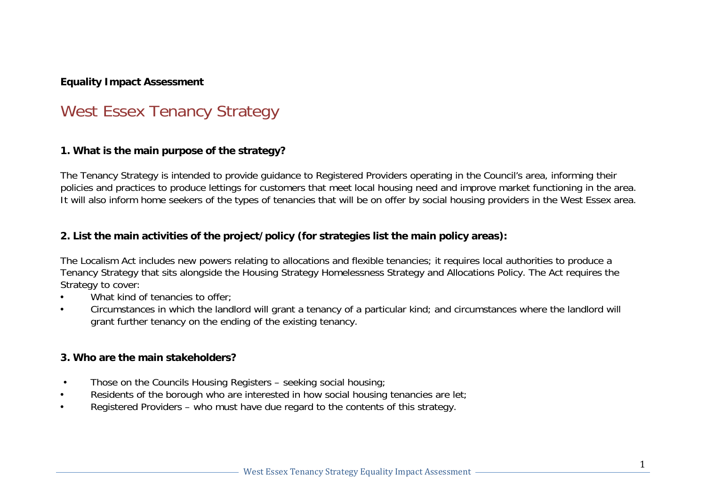## **Equality Impact Assessment**

# West Essex Tenancy Strategy

#### **1. What is the main purpose of the strategy?**

The Tenancy Strategy is intended to provide guidance to Registered Providers operating in the Council's area, informing their policies and practices to produce lettings for customers that meet local housing need and improve market functioning in the area. It will also inform home seekers of the types of tenancies that will be on offer by social housing providers in the West Essex area.

#### **2. List the main activities of the project/policy (for strategies list the main policy areas):**

The Localism Act includes new powers relating to allocations and flexible tenancies; it requires local authorities to produce a Tenancy Strategy that sits alongside the Housing Strategy Homelessness Strategy and Allocations Policy. The Act requires the Strategy to cover:

- What kind of tenancies to offer:
- Circumstances in which the landlord will grant a tenancy of a particular kind; and circumstances where the landlord will grant further tenancy on the ending of the existing tenancy.

#### **3. Who are the main stakeholders?**

- Those on the Councils Housing Registers seeking social housing;
- Residents of the borough who are interested in how social housing tenancies are let;
- Registered Providers who must have due regard to the contents of this strategy.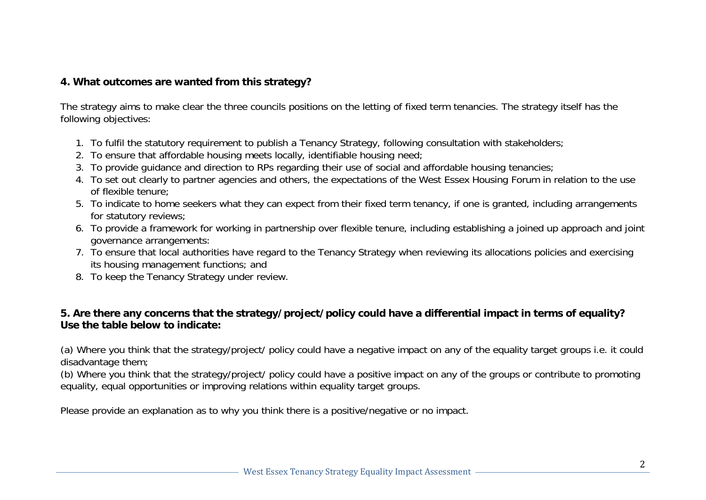#### **4. What outcomes are wanted from this strategy?**

The strategy aims to make clear the three councils positions on the letting of fixed term tenancies. The strategy itself has the following objectives:

- 1. To fulfil the statutory requirement to publish a Tenancy Strategy, following consultation with stakeholders;
- 2. To ensure that affordable housing meets locally, identifiable housing need;
- 3. To provide guidance and direction to RPs regarding their use of social and affordable housing tenancies;
- 4. To set out clearly to partner agencies and others, the expectations of the West Essex Housing Forum in relation to the use of flexible tenure;
- 5. To indicate to home seekers what they can expect from their fixed term tenancy, if one is granted, including arrangements for statutory reviews;
- 6. To provide a framework for working in partnership over flexible tenure, including establishing a joined up approach and joint governance arrangements:
- 7. To ensure that local authorities have regard to the Tenancy Strategy when reviewing its allocations policies and exercising its housing management functions; and
- 8. To keep the Tenancy Strategy under review.

# **5. Are there any concerns that the strategy/project/policy could have a differential impact in terms of equality? Use the table below to indicate:**

(a) Where you think that the strategy/project/ policy could have a negative impact on any of the equality target groups i.e. it could disadvantage them;

(b) Where you think that the strategy/project/ policy could have a positive impact on any of the groups or contribute to promoting equality, equal opportunities or improving relations within equality target groups.

Please provide an explanation as to why you think there is a positive/negative or no impact.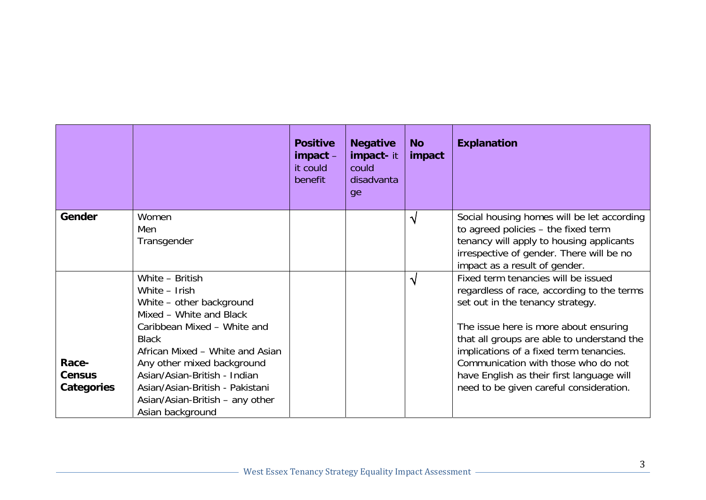|                                      |                                                                                                                                                                                                                                                                                                                                   | <b>Positive</b><br>$im$ pact $-$<br>it could<br>benefit | <b>Negative</b><br><b>impact-it</b><br>could<br>disadvanta<br>ge | <b>No</b><br>impact | <b>Explanation</b>                                                                                                                                                                                                                                                                                                                                                                     |
|--------------------------------------|-----------------------------------------------------------------------------------------------------------------------------------------------------------------------------------------------------------------------------------------------------------------------------------------------------------------------------------|---------------------------------------------------------|------------------------------------------------------------------|---------------------|----------------------------------------------------------------------------------------------------------------------------------------------------------------------------------------------------------------------------------------------------------------------------------------------------------------------------------------------------------------------------------------|
| Gender                               | Women<br>Men<br>Transgender                                                                                                                                                                                                                                                                                                       |                                                         |                                                                  | ٦                   | Social housing homes will be let according<br>to agreed policies - the fixed term<br>tenancy will apply to housing applicants<br>irrespective of gender. There will be no<br>impact as a result of gender.                                                                                                                                                                             |
| Race-<br><b>Census</b><br>Categories | White - British<br>White - Irish<br>White – other background<br>Mixed - White and Black<br>Caribbean Mixed - White and<br><b>Black</b><br>African Mixed - White and Asian<br>Any other mixed background<br>Asian/Asian-British - Indian<br>Asian/Asian-British - Pakistani<br>Asian/Asian-British – any other<br>Asian background |                                                         |                                                                  | ٦                   | Fixed term tenancies will be issued<br>regardless of race, according to the terms<br>set out in the tenancy strategy.<br>The issue here is more about ensuring<br>that all groups are able to understand the<br>implications of a fixed term tenancies.<br>Communication with those who do not<br>have English as their first language will<br>need to be given careful consideration. |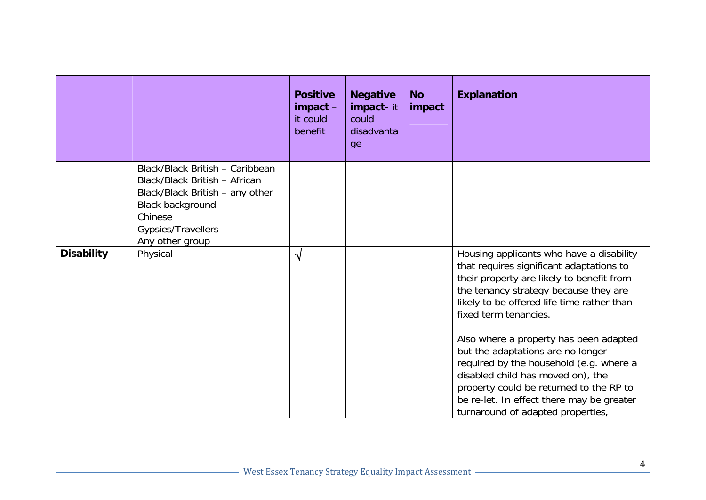|                   |                                                                                                                                                                             | <b>Positive</b><br>$im$ pact $-$<br>it could<br>benefit | <b>Negative</b><br>impact-it<br>could<br>disadvanta<br>ge | <b>No</b><br>impact | <b>Explanation</b>                                                                                                                                                                                                                                                                                                                                                                                                                                                                                                                            |
|-------------------|-----------------------------------------------------------------------------------------------------------------------------------------------------------------------------|---------------------------------------------------------|-----------------------------------------------------------|---------------------|-----------------------------------------------------------------------------------------------------------------------------------------------------------------------------------------------------------------------------------------------------------------------------------------------------------------------------------------------------------------------------------------------------------------------------------------------------------------------------------------------------------------------------------------------|
|                   | Black/Black British - Caribbean<br>Black/Black British - African<br>Black/Black British - any other<br>Black background<br>Chinese<br>Gypsies/Travellers<br>Any other group |                                                         |                                                           |                     |                                                                                                                                                                                                                                                                                                                                                                                                                                                                                                                                               |
| <b>Disability</b> | Physical                                                                                                                                                                    | $\boldsymbol{\lambda}$                                  |                                                           |                     | Housing applicants who have a disability<br>that requires significant adaptations to<br>their property are likely to benefit from<br>the tenancy strategy because they are<br>likely to be offered life time rather than<br>fixed term tenancies.<br>Also where a property has been adapted<br>but the adaptations are no longer<br>required by the household (e.g. where a<br>disabled child has moved on), the<br>property could be returned to the RP to<br>be re-let. In effect there may be greater<br>turnaround of adapted properties, |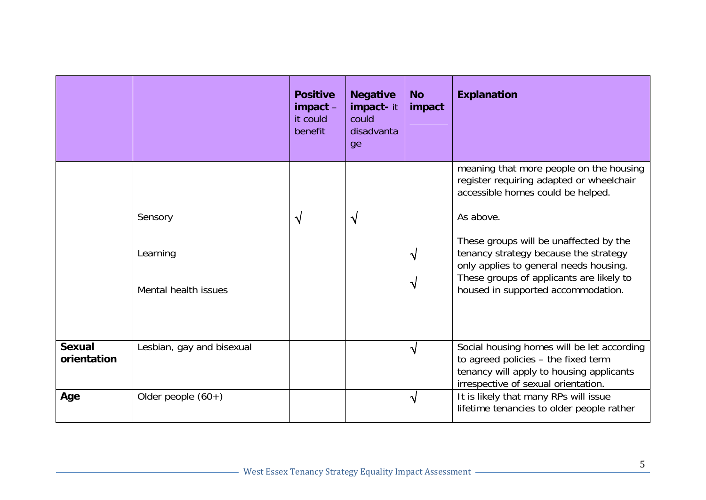|                              |                                             | <b>Positive</b><br>$im$ pact $-$<br>it could<br>benefit | <b>Negative</b><br>impact-it<br>could<br>disadvanta<br>ge | <b>No</b><br>impact    | <b>Explanation</b>                                                                                                                                                                                                                                                                                                                                   |
|------------------------------|---------------------------------------------|---------------------------------------------------------|-----------------------------------------------------------|------------------------|------------------------------------------------------------------------------------------------------------------------------------------------------------------------------------------------------------------------------------------------------------------------------------------------------------------------------------------------------|
|                              | Sensory<br>Learning<br>Mental health issues | $\sqrt{}$                                               | $\sqrt{}$                                                 | Ŋ<br>V                 | meaning that more people on the housing<br>register requiring adapted or wheelchair<br>accessible homes could be helped.<br>As above.<br>These groups will be unaffected by the<br>tenancy strategy because the strategy<br>only applies to general needs housing.<br>These groups of applicants are likely to<br>housed in supported accommodation. |
| <b>Sexual</b><br>orientation | Lesbian, gay and bisexual                   |                                                         |                                                           | $\boldsymbol{\lambda}$ | Social housing homes will be let according<br>to agreed policies - the fixed term<br>tenancy will apply to housing applicants<br>irrespective of sexual orientation.                                                                                                                                                                                 |
| Age                          | Older people $(60+)$                        |                                                         |                                                           | √                      | It is likely that many RPs will issue<br>lifetime tenancies to older people rather                                                                                                                                                                                                                                                                   |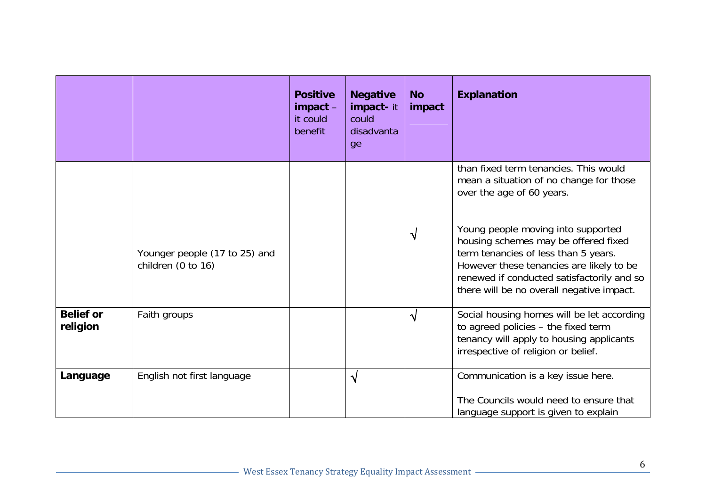|                              |                                                     | <b>Positive</b><br>impact - | <b>Negative</b><br>impact-it | <b>No</b><br>impact | <b>Explanation</b>                                                                                                                                                                                                                                        |
|------------------------------|-----------------------------------------------------|-----------------------------|------------------------------|---------------------|-----------------------------------------------------------------------------------------------------------------------------------------------------------------------------------------------------------------------------------------------------------|
|                              |                                                     | it could<br>benefit         | could<br>disadvanta<br>ge    |                     |                                                                                                                                                                                                                                                           |
|                              |                                                     |                             |                              |                     | than fixed term tenancies. This would<br>mean a situation of no change for those<br>over the age of 60 years.                                                                                                                                             |
|                              | Younger people (17 to 25) and<br>children (0 to 16) |                             |                              | ٦I                  | Young people moving into supported<br>housing schemes may be offered fixed<br>term tenancies of less than 5 years.<br>However these tenancies are likely to be<br>renewed if conducted satisfactorily and so<br>there will be no overall negative impact. |
| <b>Belief or</b><br>religion | Faith groups                                        |                             |                              | N                   | Social housing homes will be let according<br>to agreed policies - the fixed term<br>tenancy will apply to housing applicants<br>irrespective of religion or belief.                                                                                      |
| Language                     | English not first language                          |                             | $\sqrt{}$                    |                     | Communication is a key issue here.<br>The Councils would need to ensure that<br>language support is given to explain                                                                                                                                      |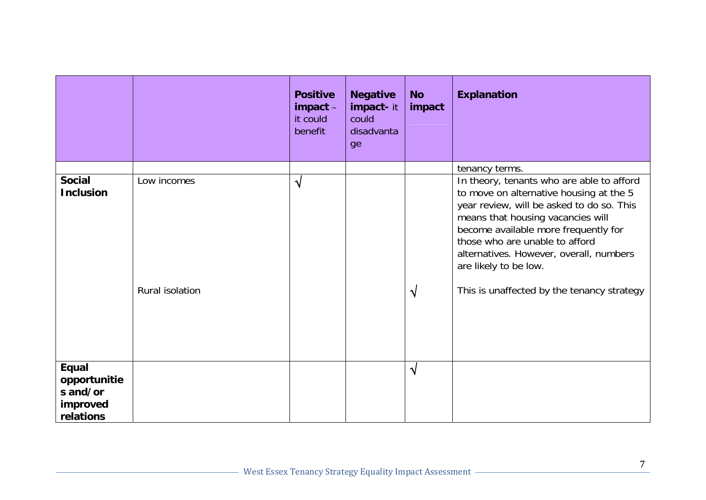|                                                            |                                | <b>Positive</b><br>$impat -$<br>it could<br>benefit | <b>Negative</b><br>impact-it<br>could<br>disadvanta<br>ge | <b>No</b><br>impact | <b>Explanation</b>                                                                                                                                                                                                                                                                                                                                                                   |
|------------------------------------------------------------|--------------------------------|-----------------------------------------------------|-----------------------------------------------------------|---------------------|--------------------------------------------------------------------------------------------------------------------------------------------------------------------------------------------------------------------------------------------------------------------------------------------------------------------------------------------------------------------------------------|
| <b>Social</b><br><b>Inclusion</b>                          | Low incomes<br>Rural isolation | $\boldsymbol{\lambda}$                              |                                                           | N                   | tenancy terms.<br>In theory, tenants who are able to afford<br>to move on alternative housing at the 5<br>year review, will be asked to do so. This<br>means that housing vacancies will<br>become available more frequently for<br>those who are unable to afford<br>alternatives. However, overall, numbers<br>are likely to be low.<br>This is unaffected by the tenancy strategy |
| Equal<br>opportunitie<br>s and/or<br>improved<br>relations |                                |                                                     |                                                           | $\sqrt{ }$          |                                                                                                                                                                                                                                                                                                                                                                                      |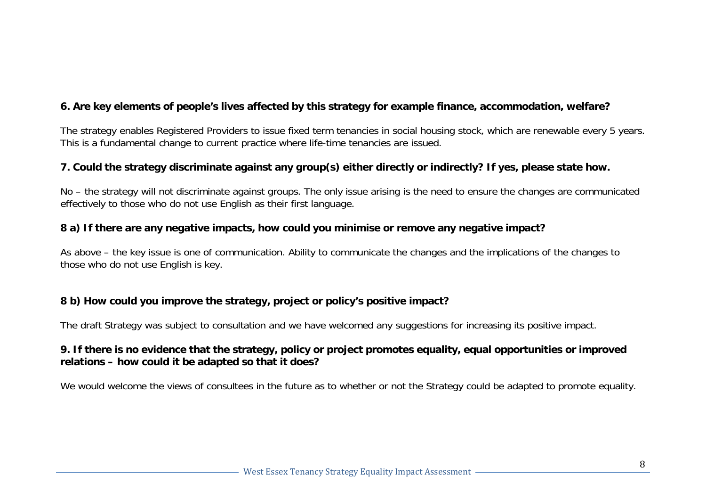# **6. Are key elements of people's lives affected by this strategy for example finance, accommodation, welfare?**

The strategy enables Registered Providers to issue fixed term tenancies in social housing stock, which are renewable every 5 years. This is a fundamental change to current practice where life-time tenancies are issued.

## **7. Could the strategy discriminate against any group(s) either directly or indirectly? If yes, please state how.**

No – the strategy will not discriminate against groups. The only issue arising is the need to ensure the changes are communicated effectively to those who do not use English as their first language.

#### **8 a) If there are any negative impacts, how could you minimise or remove any negative impact?**

As above – the key issue is one of communication. Ability to communicate the changes and the implications of the changes to those who do not use English is key.

#### **8 b) How could you improve the strategy, project or policy's positive impact?**

The draft Strategy was subject to consultation and we have welcomed any suggestions for increasing its positive impact.

#### **9. If there is no evidence that the strategy, policy or project promotes equality, equal opportunities or improved relations – how could it be adapted so that it does?**

We would welcome the views of consultees in the future as to whether or not the Strategy could be adapted to promote equality.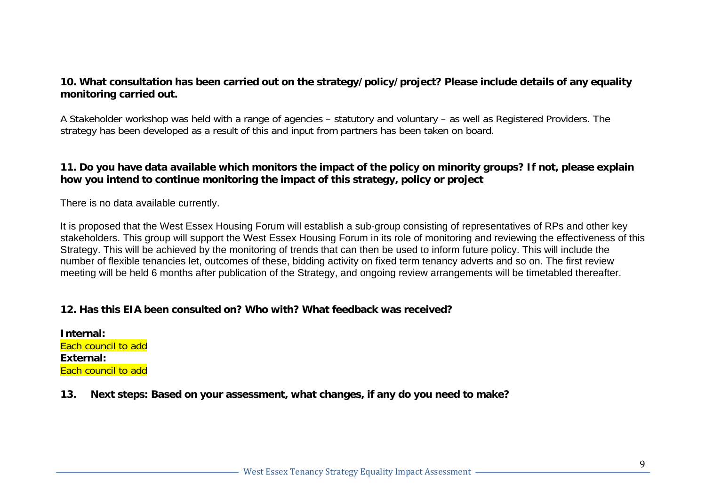#### **10. What consultation has been carried out on the strategy/policy/project? Please include details of any equality monitoring carried out.**

A Stakeholder workshop was held with a range of agencies – statutory and voluntary – as well as Registered Providers. The strategy has been developed as a result of this and input from partners has been taken on board.

# **11. Do you have data available which monitors the impact of the policy on minority groups? If not, please explain how you intend to continue monitoring the impact of this strategy, policy or project**

There is no data available currently.

It is proposed that the West Essex Housing Forum will establish a sub-group consisting of representatives of RPs and other key stakeholders. This group will support the West Essex Housing Forum in its role of monitoring and reviewing the effectiveness of this Strategy. This will be achieved by the monitoring of trends that can then be used to inform future policy. This will include the number of flexible tenancies let, outcomes of these, bidding activity on fixed term tenancy adverts and so on. The first review meeting will be held 6 months after publication of the Strategy, and ongoing review arrangements will be timetabled thereafter.

## **12. Has this EIA been consulted on? Who with? What feedback was received?**

**Internal:** Each council to add **External:** Each council to add

**13. Next steps: Based on your assessment, what changes, if any do you need to make?**